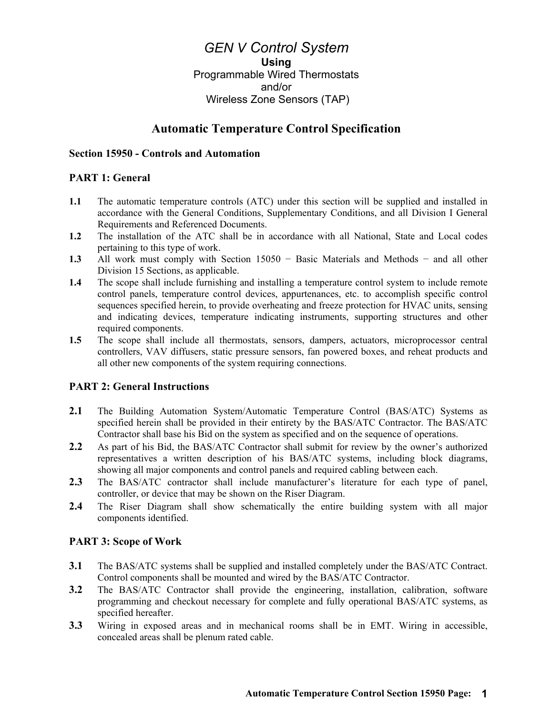*GEN V Control System* **Using** Programmable Wired Thermostats and/or Wireless Zone Sensors (TAP)

# **Automatic Temperature Control Specification**

#### **Section 15950 - Controls and Automation**

### **PART 1: General**

- **1.1** The automatic temperature controls (ATC) under this section will be supplied and installed in accordance with the General Conditions, Supplementary Conditions, and all Division I General Requirements and Referenced Documents.
- **1.2** The installation of the ATC shall be in accordance with all National, State and Local codes pertaining to this type of work.
- **1.3** All work must comply with Section 15050 − Basic Materials and Methods − and all other Division 15 Sections, as applicable.
- **1.4** The scope shall include furnishing and installing a temperature control system to include remote control panels, temperature control devices, appurtenances, etc. to accomplish specific control sequences specified herein, to provide overheating and freeze protection for HVAC units, sensing and indicating devices, temperature indicating instruments, supporting structures and other required components.
- **1.5** The scope shall include all thermostats, sensors, dampers, actuators, microprocessor central controllers, VAV diffusers, static pressure sensors, fan powered boxes, and reheat products and all other new components of the system requiring connections.

### **PART 2: General Instructions**

- 2.1 The Building Automation System/Automatic Temperature Control (BAS/ATC) Systems as specified herein shall be provided in their entirety by the BAS/ATC Contractor. The BAS/ATC Contractor shall base his Bid on the system as specified and on the sequence of operations.
- **2.2** As part of his Bid, the BAS/ATC Contractor shall submit for review by the owner's authorized representatives a written description of his BAS/ATC systems, including block diagrams, showing all major components and control panels and required cabling between each.
- **2.3** The BAS/ATC contractor shall include manufacturer's literature for each type of panel, controller, or device that may be shown on the Riser Diagram.
- **2.4** The Riser Diagram shall show schematically the entire building system with all major components identified.

#### **PART 3: Scope of Work**

- **3.1** The BAS/ATC systems shall be supplied and installed completely under the BAS/ATC Contract. Control components shall be mounted and wired by the BAS/ATC Contractor.
- **3.2** The BAS/ATC Contractor shall provide the engineering, installation, calibration, software programming and checkout necessary for complete and fully operational BAS/ATC systems, as specified hereafter.
- **3.3** Wiring in exposed areas and in mechanical rooms shall be in EMT. Wiring in accessible, concealed areas shall be plenum rated cable.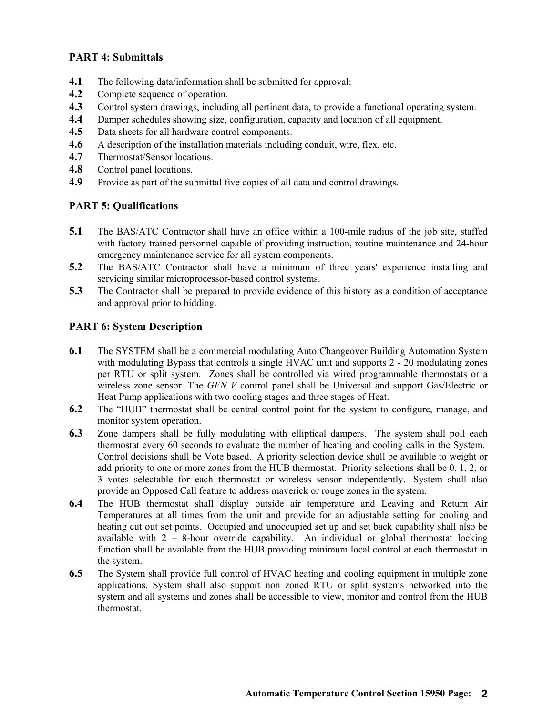## **PART 4: Submittals**

- **4.1** The following data/information shall be submitted for approval:
- **4.2** Complete sequence of operation.
- **4.3** Control system drawings, including all pertinent data, to provide a functional operating system.
- **4.4** Damper schedules showing size, configuration, capacity and location of all equipment.
- **4.5** Data sheets for all hardware control components.
- **4.6** A description of the installation materials including conduit, wire, flex, etc.
- **4.7** Thermostat/Sensor locations.
- **4.8** Control panel locations.
- **4.9** Provide as part of the submittal five copies of all data and control drawings.

### **PART 5: Qualifications**

- **5.1** The BAS/ATC Contractor shall have an office within a 100-mile radius of the job site, staffed with factory trained personnel capable of providing instruction, routine maintenance and 24-hour emergency maintenance service for all system components.
- **5.2** The BAS/ATC Contractor shall have a minimum of three years' experience installing and servicing similar microprocessor-based control systems.
- **5.3** The Contractor shall be prepared to provide evidence of this history as a condition of acceptance and approval prior to bidding.

#### **PART 6: System Description**

- **6.1** The SYSTEM shall be a commercial modulating Auto Changeover Building Automation System with modulating Bypass that controls a single HVAC unit and supports 2 - 20 modulating zones per RTU or split system. Zones shall be controlled via wired programmable thermostats or a wireless zone sensor. The *GEN V* control panel shall be Universal and support Gas/Electric or Heat Pump applications with two cooling stages and three stages of Heat.
- **6.2** The "HUB" thermostat shall be central control point for the system to configure, manage, and monitor system operation.
- **6.3** Zone dampers shall be fully modulating with elliptical dampers. The system shall poll each thermostat every 60 seconds to evaluate the number of heating and cooling calls in the System. Control decisions shall be Vote based. A priority selection device shall be available to weight or add priority to one or more zones from the HUB thermostat. Priority selections shall be 0, 1, 2, or 3 votes selectable for each thermostat or wireless sensor independently. System shall also provide an Opposed Call feature to address maverick or rouge zones in the system.
- **6.4** The HUB thermostat shall display outside air temperature and Leaving and Return Air Temperatures at all times from the unit and provide for an adjustable setting for cooling and heating cut out set points. Occupied and unoccupied set up and set back capability shall also be available with  $2 - 8$ -hour override capability. An individual or global thermostat locking function shall be available from the HUB providing minimum local control at each thermostat in the system.
- **6.5** The System shall provide full control of HVAC heating and cooling equipment in multiple zone applications. System shall also support non zoned RTU or split systems networked into the system and all systems and zones shall be accessible to view, monitor and control from the HUB thermostat.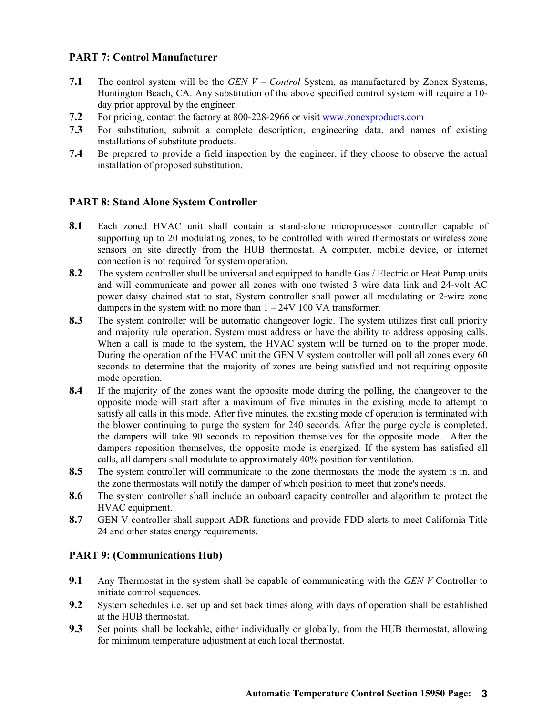## **PART 7: Control Manufacturer**

- **7.1** The control system will be the *GEN V – Control* System, as manufactured by Zonex Systems, Huntington Beach, CA. Any substitution of the above specified control system will require a 10 day prior approval by the engineer.
- **7.2** For pricing, contact the factory at 800-228-2966 or visit [www.zonexproducts.com](http://www.zonexproducts.com/)
- **7.3** For substitution, submit a complete description, engineering data, and names of existing installations of substitute products.
- **7.4** Be prepared to provide a field inspection by the engineer, if they choose to observe the actual installation of proposed substitution.

### **PART 8: Stand Alone System Controller**

- **8.1** Each zoned HVAC unit shall contain a stand-alone microprocessor controller capable of supporting up to 20 modulating zones, to be controlled with wired thermostats or wireless zone sensors on site directly from the HUB thermostat. A computer, mobile device, or internet connection is not required for system operation.
- **8.2** The system controller shall be universal and equipped to handle Gas / Electric or Heat Pump units and will communicate and power all zones with one twisted 3 wire data link and 24-volt AC power daisy chained stat to stat, System controller shall power all modulating or 2-wire zone dampers in the system with no more than 1 – 24V 100 VA transformer.
- **8.3** The system controller will be automatic changeover logic. The system utilizes first call priority and majority rule operation. System must address or have the ability to address opposing calls. When a call is made to the system, the HVAC system will be turned on to the proper mode. During the operation of the HVAC unit the GEN V system controller will poll all zones every 60 seconds to determine that the majority of zones are being satisfied and not requiring opposite mode operation.
- **8.4** If the majority of the zones want the opposite mode during the polling, the changeover to the opposite mode will start after a maximum of five minutes in the existing mode to attempt to satisfy all calls in this mode. After five minutes, the existing mode of operation is terminated with the blower continuing to purge the system for 240 seconds. After the purge cycle is completed, the dampers will take 90 seconds to reposition themselves for the opposite mode. After the dampers reposition themselves, the opposite mode is energized. If the system has satisfied all calls, all dampers shall modulate to approximately 40% position for ventilation.
- **8.5** The system controller will communicate to the zone thermostats the mode the system is in, and the zone thermostats will notify the damper of which position to meet that zone's needs.
- **8.6** The system controller shall include an onboard capacity controller and algorithm to protect the HVAC equipment.
- **8.7** GEN V controller shall support ADR functions and provide FDD alerts to meet California Title 24 and other states energy requirements.

### **PART 9: (Communications Hub)**

- **9.1** Any Thermostat in the system shall be capable of communicating with the *GEN V* Controller to initiate control sequences.
- **9.2** System schedules i.e. set up and set back times along with days of operation shall be established at the HUB thermostat.
- **9.3** Set points shall be lockable, either individually or globally, from the HUB thermostat, allowing for minimum temperature adjustment at each local thermostat.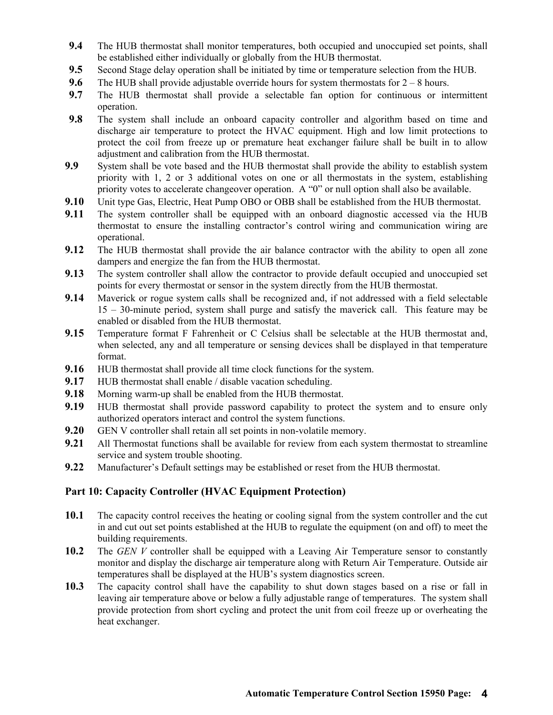- **9.4** The HUB thermostat shall monitor temperatures, both occupied and unoccupied set points, shall be established either individually or globally from the HUB thermostat.
- **9.5** Second Stage delay operation shall be initiated by time or temperature selection from the HUB.
- **9.6** The HUB shall provide adjustable override hours for system thermostats for  $2 8$  hours.
- **9.7** The HUB thermostat shall provide a selectable fan option for continuous or intermittent operation.
- **9.8** The system shall include an onboard capacity controller and algorithm based on time and discharge air temperature to protect the HVAC equipment. High and low limit protections to protect the coil from freeze up or premature heat exchanger failure shall be built in to allow adjustment and calibration from the HUB thermostat.
- **9.9** System shall be vote based and the HUB thermostat shall provide the ability to establish system priority with 1, 2 or 3 additional votes on one or all thermostats in the system, establishing priority votes to accelerate changeover operation. A "0" or null option shall also be available.
- **9.10** Unit type Gas, Electric, Heat Pump OBO or OBB shall be established from the HUB thermostat.
- **9.11** The system controller shall be equipped with an onboard diagnostic accessed via the HUB thermostat to ensure the installing contractor's control wiring and communication wiring are operational.
- **9.12** The HUB thermostat shall provide the air balance contractor with the ability to open all zone dampers and energize the fan from the HUB thermostat.
- **9.13** The system controller shall allow the contractor to provide default occupied and unoccupied set points for every thermostat or sensor in the system directly from the HUB thermostat.
- **9.14** Maverick or rogue system calls shall be recognized and, if not addressed with a field selectable 15 – 30-minute period, system shall purge and satisfy the maverick call. This feature may be enabled or disabled from the HUB thermostat.
- **9.15** Temperature format F Fahrenheit or C Celsius shall be selectable at the HUB thermostat and, when selected, any and all temperature or sensing devices shall be displayed in that temperature format.
- **9.16 HUB** thermostat shall provide all time clock functions for the system.
- **9.17 HUB thermostat shall enable / disable vacation scheduling.**
- **9.18** Morning warm-up shall be enabled from the HUB thermostat.
- **9.19** HUB thermostat shall provide password capability to protect the system and to ensure only authorized operators interact and control the system functions.
- **9.20** GEN V controller shall retain all set points in non-volatile memory.
- **9.21** All Thermostat functions shall be available for review from each system thermostat to streamline service and system trouble shooting.
- **9.22** Manufacturer's Default settings may be established or reset from the HUB thermostat.

## **Part 10: Capacity Controller (HVAC Equipment Protection)**

- **10.1** The capacity control receives the heating or cooling signal from the system controller and the cut in and cut out set points established at the HUB to regulate the equipment (on and off) to meet the building requirements.
- 10.2 The *GEN V* controller shall be equipped with a Leaving Air Temperature sensor to constantly monitor and display the discharge air temperature along with Return Air Temperature. Outside air temperatures shall be displayed at the HUB's system diagnostics screen.
- **10.3** The capacity control shall have the capability to shut down stages based on a rise or fall in leaving air temperature above or below a fully adjustable range of temperatures. The system shall provide protection from short cycling and protect the unit from coil freeze up or overheating the heat exchanger.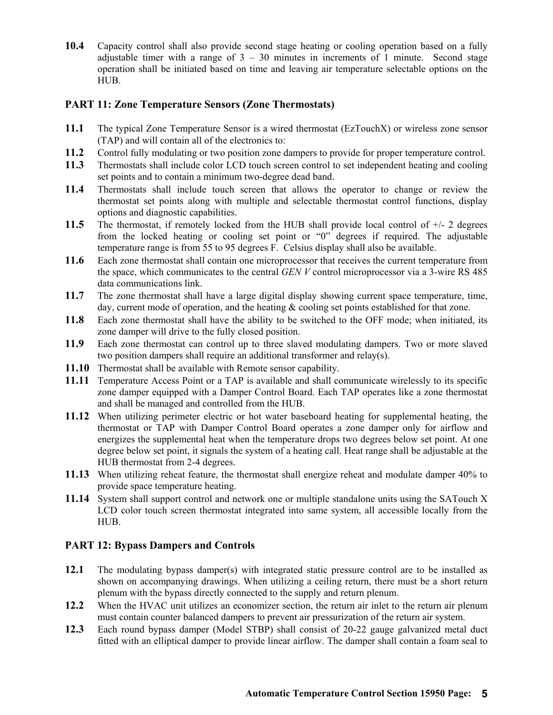**10.4** Capacity control shall also provide second stage heating or cooling operation based on a fully adjustable timer with a range of  $3 - 30$  minutes in increments of 1 minute. Second stage operation shall be initiated based on time and leaving air temperature selectable options on the HUB.

## **PART 11: Zone Temperature Sensors (Zone Thermostats)**

- **11.1** The typical Zone Temperature Sensor is a wired thermostat (EzTouchX) or wireless zone sensor (TAP) and will contain all of the electronics to:
- **11.2** Control fully modulating or two position zone dampers to provide for proper temperature control.
- **11.3** Thermostats shall include color LCD touch screen control to set independent heating and cooling set points and to contain a minimum two-degree dead band.
- **11.4** Thermostats shall include touch screen that allows the operator to change or review the thermostat set points along with multiple and selectable thermostat control functions, display options and diagnostic capabilities.
- **11.5** The thermostat, if remotely locked from the HUB shall provide local control of +/- 2 degrees from the locked heating or cooling set point or "0" degrees if required. The adjustable temperature range is from 55 to 95 degrees F. Celsius display shall also be available.
- **11.6** Each zone thermostat shall contain one microprocessor that receives the current temperature from the space, which communicates to the central *GEN V* control microprocessor via a 3-wire RS 485 data communications link.
- **11.7** The zone thermostat shall have a large digital display showing current space temperature, time, day, current mode of operation, and the heating & cooling set points established for that zone.
- **11.8** Each zone thermostat shall have the ability to be switched to the OFF mode; when initiated, its zone damper will drive to the fully closed position.
- **11.9** Each zone thermostat can control up to three slaved modulating dampers. Two or more slaved two position dampers shall require an additional transformer and relay(s).
- **11.10** Thermostat shall be available with Remote sensor capability.
- **11.11** Temperature Access Point or a TAP is available and shall communicate wirelessly to its specific zone damper equipped with a Damper Control Board. Each TAP operates like a zone thermostat and shall be managed and controlled from the HUB.
- **11.12** When utilizing perimeter electric or hot water baseboard heating for supplemental heating, the thermostat or TAP with Damper Control Board operates a zone damper only for airflow and energizes the supplemental heat when the temperature drops two degrees below set point. At one degree below set point, it signals the system of a heating call. Heat range shall be adjustable at the HUB thermostat from 2-4 degrees.
- **11.13** When utilizing reheat feature, the thermostat shall energize reheat and modulate damper 40% to provide space temperature heating.
- **11.14** System shall support control and network one or multiple standalone units using the SATouch X LCD color touch screen thermostat integrated into same system, all accessible locally from the HUB.

# **PART 12: Bypass Dampers and Controls**

- **12.1** The modulating bypass damper(s) with integrated static pressure control are to be installed as shown on accompanying drawings. When utilizing a ceiling return, there must be a short return plenum with the bypass directly connected to the supply and return plenum.
- **12.2** When the HVAC unit utilizes an economizer section, the return air inlet to the return air plenum must contain counter balanced dampers to prevent air pressurization of the return air system.
- **12.3** Each round bypass damper (Model STBP) shall consist of 20-22 gauge galvanized metal duct fitted with an elliptical damper to provide linear airflow. The damper shall contain a foam seal to